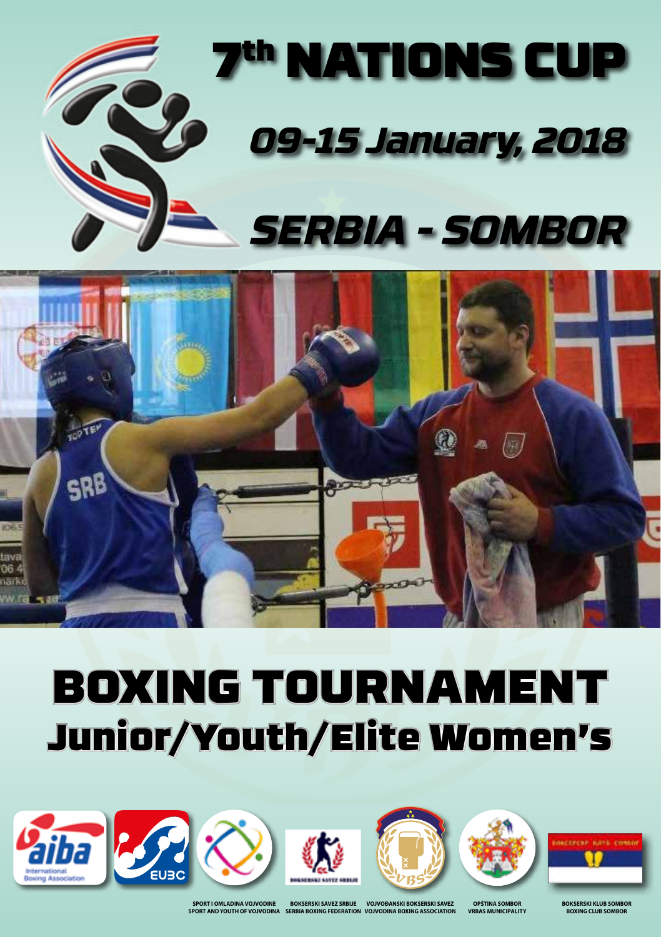



# BOXING TOURNAMENT Junior/Youth/Elite Women's













**SPORT I OMLADINA VOJVODINE SPORT AND YOUTH OF VOJVODINA**

**VOJVOĐANSKI BOKSERSKI SAVEZ VOJVODINA BOXING ASSOCIATION BOKSERSKI SAVEZ SRBIJE SERBIA BOXING FEDERATION**

**OPŠTINA SOMB VRBAS municipality** **BOKSERSKI KLUB SOMBOR BOYING CLUB SOM**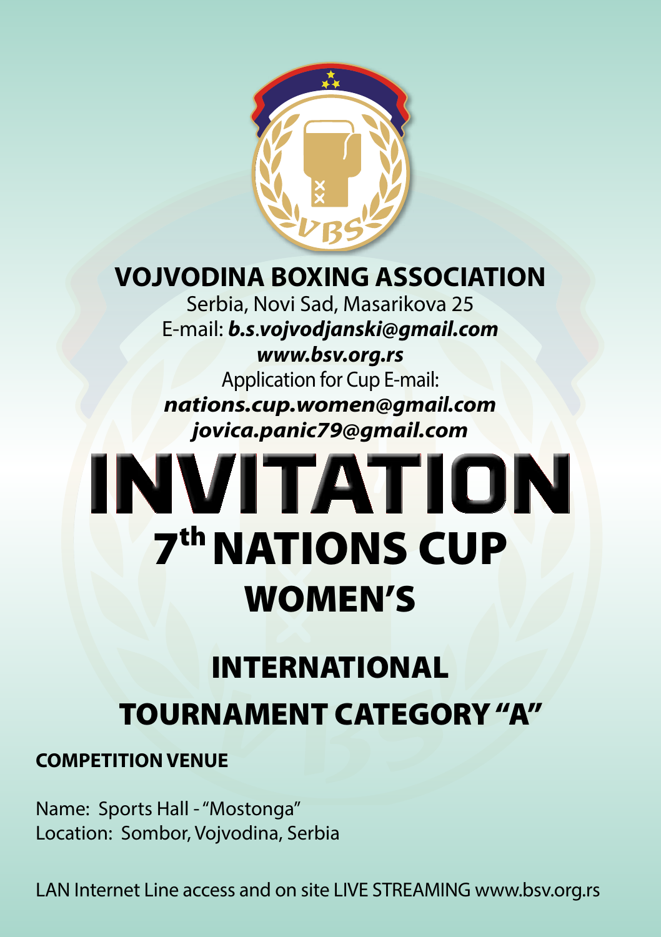

## **VOJVODINA BOXING ASSOCIATION**

Serbia, Novi Sad, Masarikova 25 E-mail: *b.s*.*vojvodjanski@gmail.com www.bsv.org.rs* Application for Cup E-mail: *nations.cup.women@gmail.com jovica.panic79@gmail.com*

# **INVITATION 7th NATIONS CUP** WOMEN'S

## INTERNATIONAL TOURNAMENT CATEGORY "A"

#### **COMPETITION VENUE**

Name: Sports Hall - "Mostonga" Location: Sombor, Vojvodina, Serbia

LAN Internet Line access and on site LIVE STREAMING www.bsv.org.rs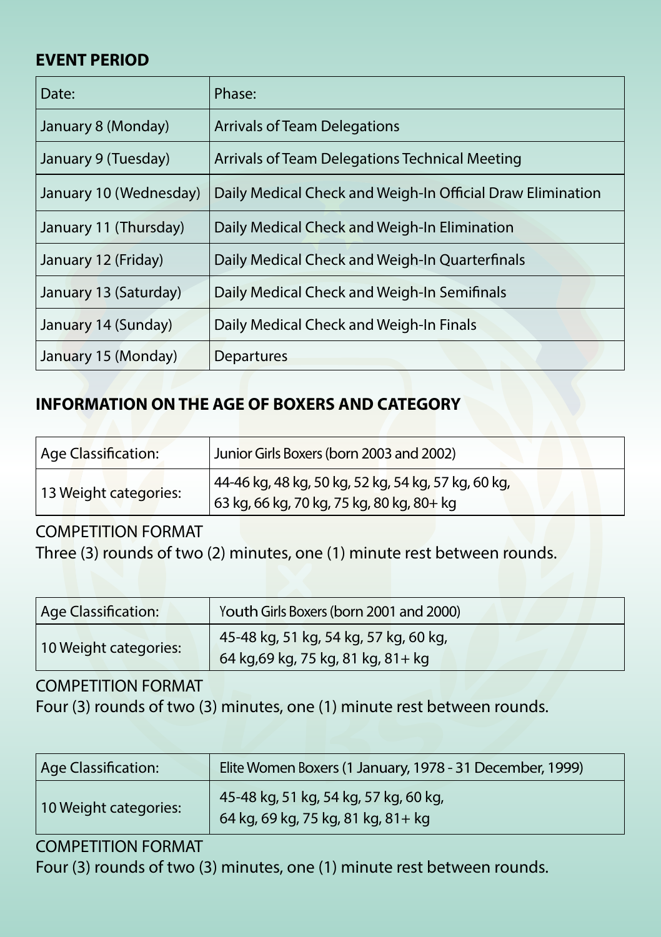#### **EVENT PERIOD**

| Date:                  | Phase:                                                     |  |  |  |
|------------------------|------------------------------------------------------------|--|--|--|
| January 8 (Monday)     | Arrivals of Team Delegations                               |  |  |  |
| January 9 (Tuesday)    | Arrivals of Team Delegations Technical Meeting             |  |  |  |
| January 10 (Wednesday) | Daily Medical Check and Weigh-In Official Draw Elimination |  |  |  |
| January 11 (Thursday)  | Daily Medical Check and Weigh-In Elimination               |  |  |  |
| January 12 (Friday)    | Daily Medical Check and Weigh-In Quarterfinals             |  |  |  |
| January 13 (Saturday)  | Daily Medical Check and Weigh-In Semifinals                |  |  |  |
| January 14 (Sunday)    | Daily Medical Check and Weigh-In Finals                    |  |  |  |
| January 15 (Monday)    | Departures                                                 |  |  |  |

#### **INFORMATION ON THE AGE OF BOXERS AND CATEGORY**

| Age Classification:   | Junior Girls Boxers (born 2003 and 2002)                                                         |  |  |
|-----------------------|--------------------------------------------------------------------------------------------------|--|--|
| 13 Weight categories: | 44-46 kg, 48 kg, 50 kg, 52 kg, 54 kg, 57 kg, 60 kg,<br>63 kg, 66 kg, 70 kg, 75 kg, 80 kg, 80+ kg |  |  |

#### COMPETITION FORMAT

Three (3) rounds of two (2) minutes, one (1) minute rest between rounds.

| Age Classification:   | Youth Girls Boxers (born 2001 and 2000)                                     |  |  |
|-----------------------|-----------------------------------------------------------------------------|--|--|
| 10 Weight categories: | 45-48 kg, 51 kg, 54 kg, 57 kg, 60 kg,<br>64 kg,69 kg, 75 kg, 81 kg, 81 + kg |  |  |

#### COMPETITION FORMAT

Four (3) rounds of two (3) minutes, one (1) minute rest between rounds.

| Age Classification:   | Elite Women Boxers (1 January, 1978 - 31 December, 1999)                    |  |  |  |
|-----------------------|-----------------------------------------------------------------------------|--|--|--|
| 10 Weight categories: | 45-48 kg, 51 kg, 54 kg, 57 kg, 60 kg,<br>64 kg, 69 kg, 75 kg, 81 kg, 81+ kg |  |  |  |

#### COMPETITION FORMAT

Four (3) rounds of two (3) minutes, one (1) minute rest between rounds.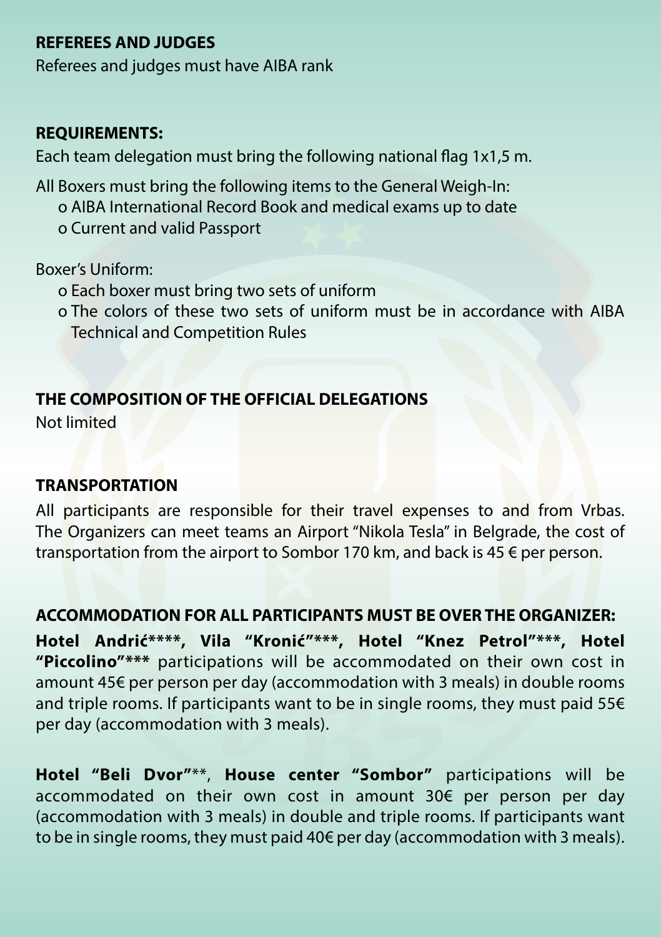#### **REFEREES AND JUDGES**

Referees and judges must have AIBA rank

#### **REQUIREMENTS:**

Each team delegation must bring the following national flag 1x1,5 m.

All Boxers must bring the following items to the General Weigh-In: o AIBA International Record Book and medical exams up to date o Current and valid Passport

Boxer's Uniform:

- o Each boxer must bring two sets of uniform
- o The colors of these two sets of uniform must be in accordance with AIBA Technical and Competition Rules

#### **THE COMPOSITION OF THE OFFICIAL DELEGATIONS**

Not limited

#### **TRANSPORTATION**

All participants are responsible for their travel expenses to and from Vrbas. The Organizers can meet teams an Airport "Nikola Tesla" in Belgrade, the cost of transportation from the airport to Sombor 170 km, and back is 45 € per person.

#### **ACCOMMODATION FOR ALL PARTICIPANTS MUST BE OVER THE ORGANIZER:**

**Hotel Andrić\*\*\*\*, Vila "Kronić"\*\*\*, Hotel "Knez Petrol"\*\*\*, Hotel "Piccolino"\*\*\*** participations will be accommodated on their own cost in amount 45€ per person per day (accommodation with 3 meals) in double rooms and triple rooms. If participants want to be in single rooms, they must paid 55€ per day (accommodation with 3 meals).

**Hotel "Beli Dvor"**\*\*, **House center "Sombor"** participations will be accommodated on their own cost in amount 30€ per person per day (accommodation with 3 meals) in double and triple rooms. If participants want to be in single rooms, they must paid 40€ per day (accommodation with 3 meals).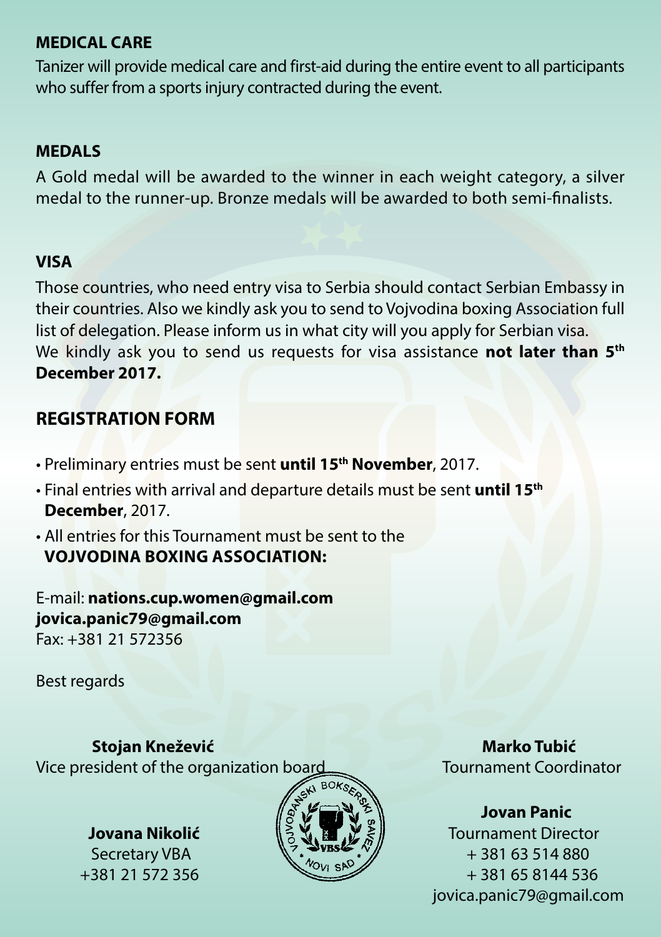#### **MEDICAL CARE**

Tanizer will provide medical care and first-aid during the entire event to all participants who suffer from a sports injury contracted during the event.

#### **MEDALS**

A Gold medal will be awarded to the winner in each weight category, a silver medal to the runner-up. Bronze medals will be awarded to both semi-finalists.

#### **VISA**

Those countries, who need entry visa to Serbia should contact Serbian Embassy in their countries. Also we kindly ask you to send to Vojvodina boxing Аssociation full list of delegation. Please inform us in what city will you apply for Serbian visa. We kindly ask you to send us requests for visa assistance **not later than 5th December 2017.**

#### **REGISTRATION FORM**

- Preliminary entries must be sent **until 15th November**, 2017.
- Final entries with arrival and departure details must be sent **until 15th December**, 2017.
- All entries for this Tournament must be sent to the **Vojvodina Boxing Association:**

E-mail: **nations.cup.women@gmail.com jovica.panic79@gmail.com** Fax: +381 21 572356

Best regards

 **Stojan Knežević Marko Tubić** Vice president of the organization board Tournament Coordinator



#### **Jovan Panic**

**Jovana Nikolić**  $\|\xi\| \geq \|\xi\|$  Tournament Director Secretary VBA  $\sqrt{7}$ , VBS  $\sqrt{7}$  + 381 63 514 880  $+381\,21\,572\,356$   $+381\,65\,8144\,536$ jovica.panic79@gmail.com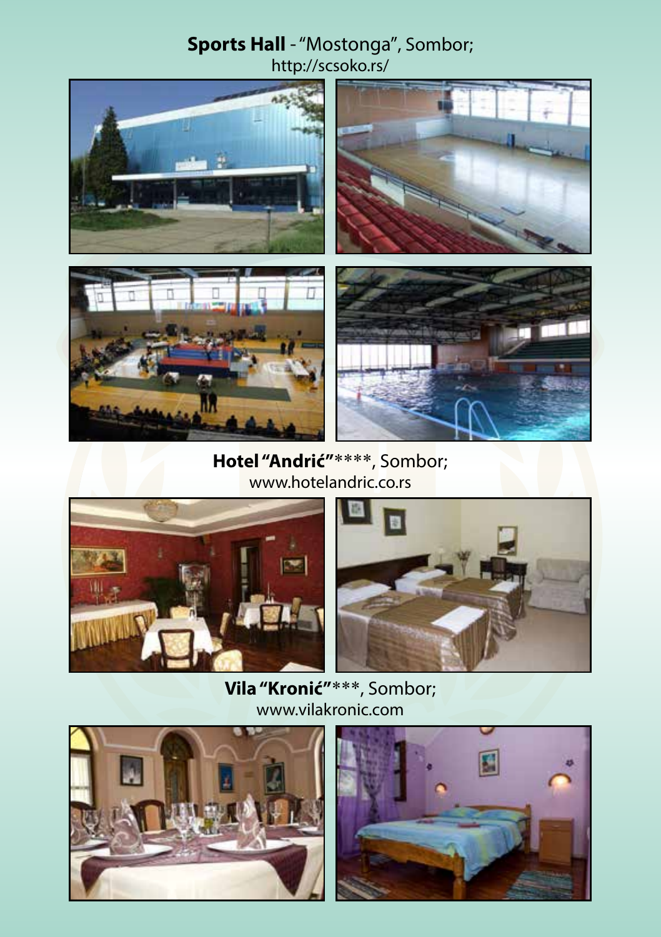#### **Sports Hall** - "Mostonga", Sombor; http://scsoko.rs/



#### **Hotel "Andrić"**\*\*\*\*, Sombor; www.hotelandric.co.rs





**Vila "Kronić"**\*\*\*, Sombor; www.vilakronic.com



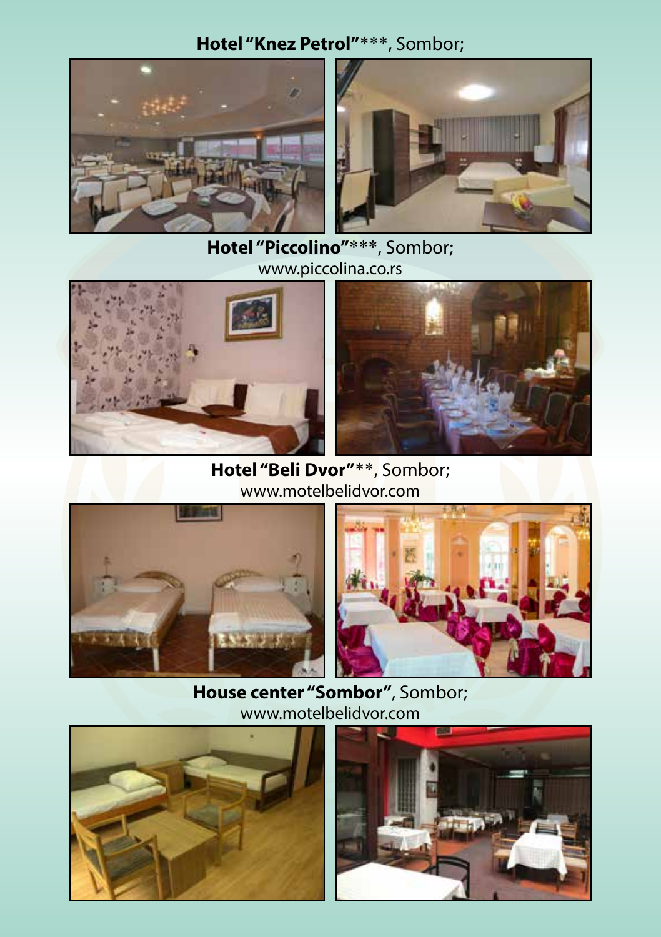#### **Hotel "Knez Petrol"**\*\*\*, Sombor;





#### **Hotel "Piccolino"**\*\*\*, Sombor; www.piccolina.co.rs





**Hotel "Beli Dvor"**\*\*, Sombor; www.motelbelidvor.com





**House center "Sombor"**, Sombor; www.motelbelidvor.com